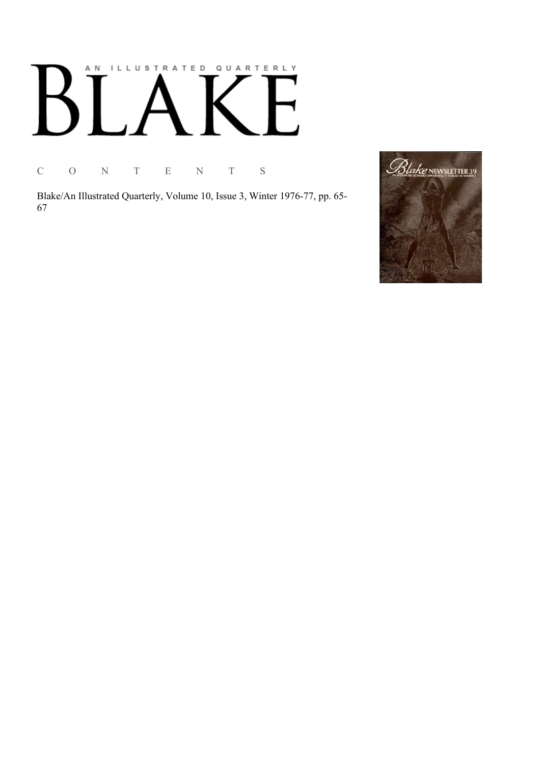# AN ILLUSTRATED QUARTERLY  $\lceil$  $\boldsymbol{\mathsf{B}}$  $\mathbf{I}$

C O N T E N T S

Blake/An Illustrated Quarterly, Volume 10, Issue 3, Winter 1976-77, pp. 65-67

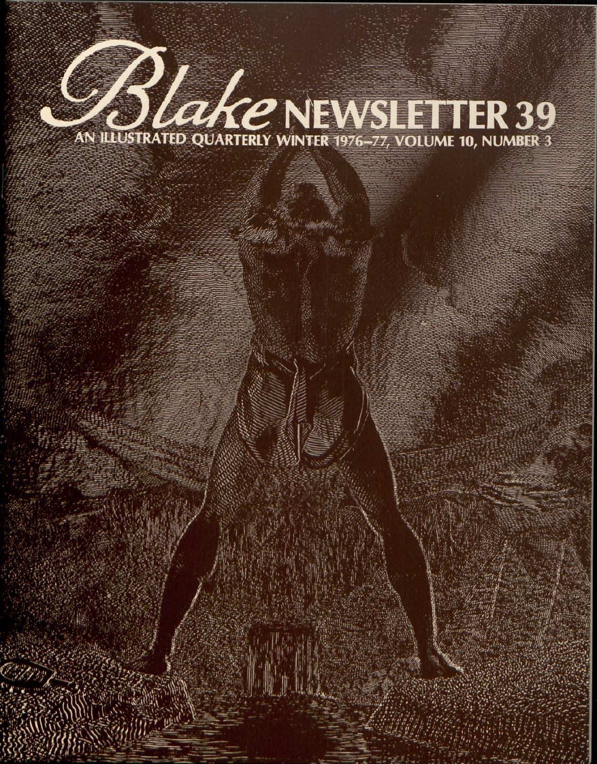# **Blake NEWSLETTER 39**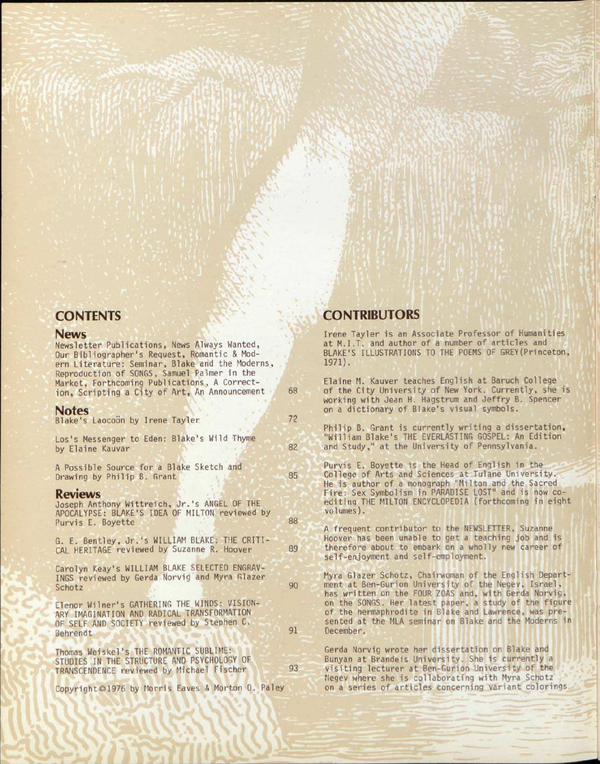## **CONTENTS**

### News

Newsletter Publications, News Always Wanted, Our Bibliographer's Request, Romantic & Modern Literature: Seminar, Blake and the Moderns, Reproduction of SONGS, Samuel Palmer in the Market, Forthcoming Publications, A Correction, Scripting a City of Art, An Announcement

### Notes

| Blake's Laocoon by Irene Tayler                                                                                                                      | 72 |
|------------------------------------------------------------------------------------------------------------------------------------------------------|----|
| Los's Messenger to Eden: Blake's Wild Thyme<br>by Elaine Kauvar                                                                                      | 82 |
| A Possible Source for a Blake Sketch and<br>Drawing by Philip B. Grant                                                                               | 85 |
| <b>Reviews</b><br>Joseph Anthony Wittreich, Jr.'s ANGEL OF THE<br>APOCALYPSE: BLAKE'S IDEA OF MILTON reviewed by<br>Purvis E. Boyette                | 88 |
| G. E. Bentley, Jr.'s WILLIAM BLAKE: THE CRITI-<br>CAL HERITAGE reviewed by Suzanne R. Hoover                                                         | 89 |
| Carolyn Keay's WILLIAM BLAKE SELECTED ENGRAV-<br>INGS reviewed by Gerda Norvig and Myra Glazer<br>Schotz                                             | 90 |
| Elenor Wilner's GATHERING THE WINDS: VISION-<br>ARY IMAGINATION AND RADICAL TRANSFORMATION<br>OF SELF AND SOCIETY reviewed by Stephen C.<br>Behrendt | 91 |
| Thomas Weiskel's THE ROMANTIC SUBLIME:<br>STUDIES IN THE STRUCTURE AND PSYCHOLOGY OF<br>TRANSCENDENCE reviewed by Michael Fischer                    | 93 |
| Copyright ©1976 by Morris Eaves & Morton D. Paley                                                                                                    |    |

fflWSV 1988 MARIAGH

# **CONTRIBUTORS**

68

Irene Tayler is an Associate Professor of Humanities at M.I.T. and author of a number of articles and BLAKE'S ILLUSTRATIONS TO THE POEMS OF GREY(Princeton, 1971).

Elaine M. Kauver teaches English at Baruch College of the City University of New York. Currently, she is working with Jean H. Hagstrum and Jeffry B. Spencer on a dictionary of Blake's visual symbols.

Philip B. Grant is currently writing a dissertation, "William Blake's THE EVERLASTING GOSPEL: An Edition and Study," at the University of Pennsylvania.

Purvis E. Boyette is the Head of English in the College of Arts and Sciences at Tulane University. He is author of a monograph "Milton and the Sacred Fire: Sex Symbolism in PARADISE LOST" and is now coediting THE MILTON ENCYCLOPEDIA (forthcoming in eight volumes).

A frequent contributor to the NEWSLETTER, Suzanne Hoover has been unable to get a teaching job and is therefore about to embark on a wholly new career of self-enjoyment and self-employment.

Myra Glazer Schotz, Chairwoman of the English Department at Ben-Gurion University of the Negev, Israel, has written on the FOUR ZOAS and, with Gerda Norvig, on the SONGS. Her latest paper, a study of the figure of the hermaphrodite in Blake and Lawrence, was presented at the MLA seminar on Blake and the Moderns in December.

Gerda Norvig wrote her dissertation on Blake and Bunyan at Brandeis University. She is currently a visiting lecturer at Ben-Gurion University of the Negev where she is collaborating with Myra Schotz on a series of articles concerning variant colorings